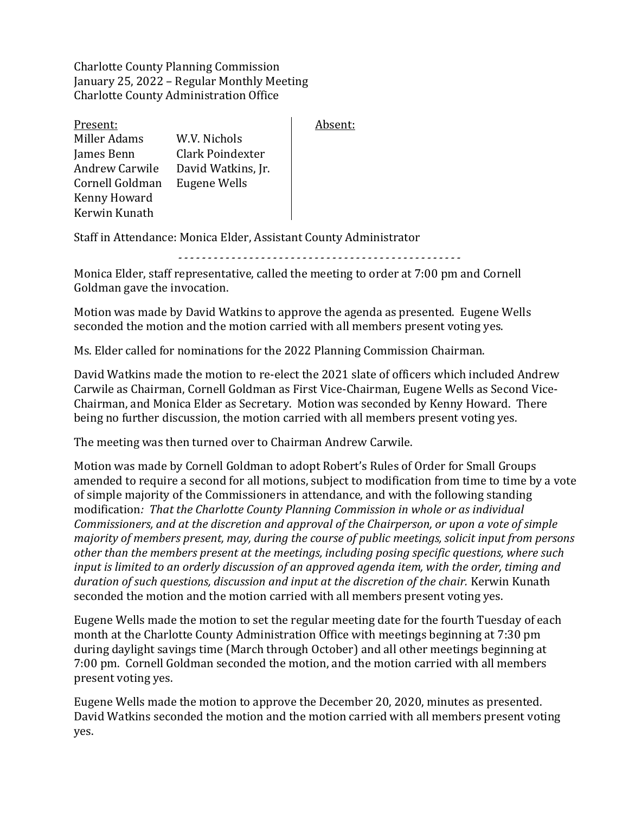Charlotte County Planning Commission January 25, 2022 – Regular Monthly Meeting Charlotte County Administration Office

| Present:              |                    |
|-----------------------|--------------------|
| Miller Adams          | W.V. Nichols       |
| James Benn            | Clark Poindexter   |
| <b>Andrew Carwile</b> | David Watkins, Jr. |
| Cornell Goldman       | Eugene Wells       |
| Kenny Howard          |                    |
| Kerwin Kunath         |                    |

Absent:

Staff in Attendance: Monica Elder, Assistant County Administrator

*------------------------------------------------*

Monica Elder, staff representative, called the meeting to order at 7:00 pm and Cornell Goldman gave the invocation.

Motion was made by David Watkins to approve the agenda as presented. Eugene Wells seconded the motion and the motion carried with all members present voting yes.

Ms. Elder called for nominations for the 2022 Planning Commission Chairman.

David Watkins made the motion to re-elect the 2021 slate of officers which included Andrew Carwile as Chairman, Cornell Goldman as First Vice-Chairman, Eugene Wells as Second Vice-Chairman, and Monica Elder as Secretary. Motion was seconded by Kenny Howard. There being no further discussion, the motion carried with all members present voting yes.

The meeting was then turned over to Chairman Andrew Carwile.

Motion was made by Cornell Goldman to adopt Robert's Rules of Order for Small Groups amended to require a second for all motions, subject to modification from time to time by a vote of simple majority of the Commissioners in attendance, and with the following standing modification*: That the Charlotte County Planning Commission in whole or as individual Commissioners, and at the discretion and approval of the Chairperson, or upon a vote of simple majority of members present, may, during the course of public meetings, solicit input from persons other than the members present at the meetings, including posing specific questions, where such input is limited to an orderly discussion of an approved agenda item, with the order, timing and duration of such questions, discussion and input at the discretion of the chair.* Kerwin Kunath seconded the motion and the motion carried with all members present voting yes.

Eugene Wells made the motion to set the regular meeting date for the fourth Tuesday of each month at the Charlotte County Administration Office with meetings beginning at 7:30 pm during daylight savings time (March through October) and all other meetings beginning at 7:00 pm. Cornell Goldman seconded the motion, and the motion carried with all members present voting yes.

Eugene Wells made the motion to approve the December 20, 2020, minutes as presented. David Watkins seconded the motion and the motion carried with all members present voting yes.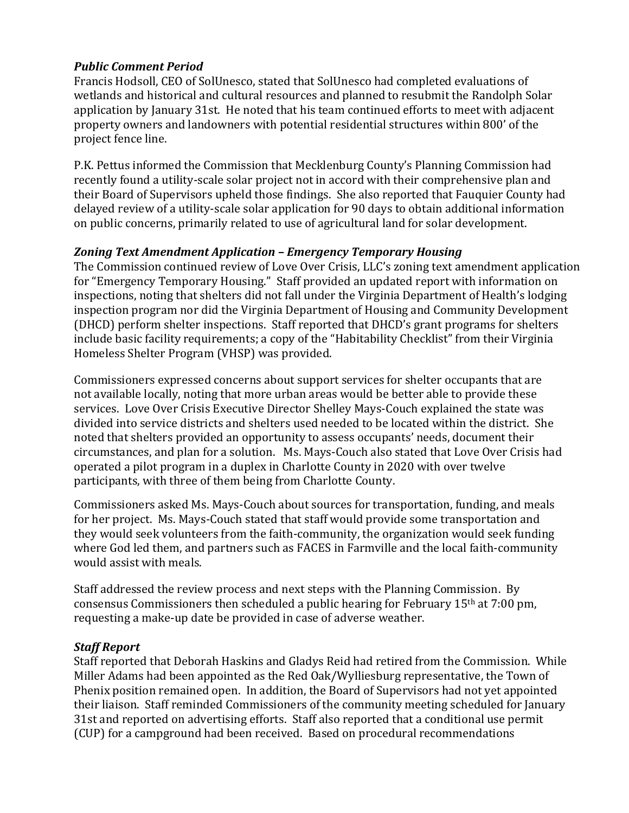## *Public Comment Period*

Francis Hodsoll, CEO of SolUnesco, stated that SolUnesco had completed evaluations of wetlands and historical and cultural resources and planned to resubmit the Randolph Solar application by January 31st. He noted that his team continued efforts to meet with adjacent property owners and landowners with potential residential structures within 800' of the project fence line.

P.K. Pettus informed the Commission that Mecklenburg County's Planning Commission had recently found a utility-scale solar project not in accord with their comprehensive plan and their Board of Supervisors upheld those findings. She also reported that Fauquier County had delayed review of a utility-scale solar application for 90 days to obtain additional information on public concerns, primarily related to use of agricultural land for solar development.

## *Zoning Text Amendment Application – Emergency Temporary Housing*

The Commission continued review of Love Over Crisis, LLC's zoning text amendment application for "Emergency Temporary Housing." Staff provided an updated report with information on inspections, noting that shelters did not fall under the Virginia Department of Health's lodging inspection program nor did the Virginia Department of Housing and Community Development (DHCD) perform shelter inspections. Staff reported that DHCD's grant programs for shelters include basic facility requirements; a copy of the "Habitability Checklist" from their Virginia Homeless Shelter Program (VHSP) was provided.

Commissioners expressed concerns about support services for shelter occupants that are not available locally, noting that more urban areas would be better able to provide these services. Love Over Crisis Executive Director Shelley Mays-Couch explained the state was divided into service districts and shelters used needed to be located within the district. She noted that shelters provided an opportunity to assess occupants' needs, document their circumstances, and plan for a solution. Ms. Mays-Couch also stated that Love Over Crisis had operated a pilot program in a duplex in Charlotte County in 2020 with over twelve participants, with three of them being from Charlotte County.

Commissioners asked Ms. Mays-Couch about sources for transportation, funding, and meals for her project. Ms. Mays-Couch stated that staff would provide some transportation and they would seek volunteers from the faith-community, the organization would seek funding where God led them, and partners such as FACES in Farmville and the local faith-community would assist with meals.

Staff addressed the review process and next steps with the Planning Commission. By consensus Commissioners then scheduled a public hearing for February  $15<sup>th</sup>$  at 7:00 pm, requesting a make-up date be provided in case of adverse weather.

## *Staff Report*

Staff reported that Deborah Haskins and Gladys Reid had retired from the Commission. While Miller Adams had been appointed as the Red Oak/Wylliesburg representative, the Town of Phenix position remained open. In addition, the Board of Supervisors had not yet appointed their liaison. Staff reminded Commissioners of the community meeting scheduled for January 31st and reported on advertising efforts. Staff also reported that a conditional use permit (CUP) for a campground had been received. Based on procedural recommendations